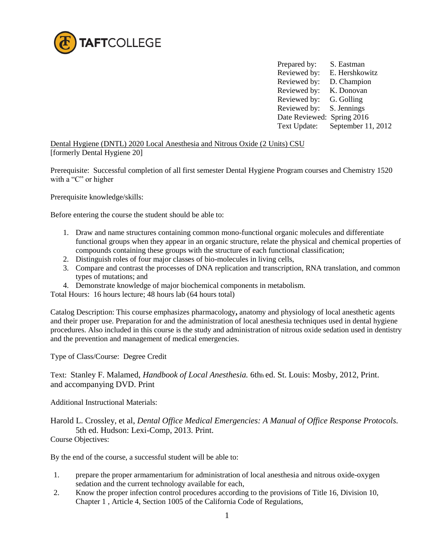

Prepared by: S. Eastman Reviewed by: E. Hershkowitz Reviewed by: D. Champion Reviewed by: K. Donovan Reviewed by: G. Golling Reviewed by: S. Jennings Date Reviewed: Spring 2016 Text Update: September 11, 2012

Dental Hygiene (DNTL) 2020 Local Anesthesia and Nitrous Oxide (2 Units) CSU [formerly Dental Hygiene 20]

Prerequisite: Successful completion of all first semester Dental Hygiene Program courses and Chemistry 1520 with a "C" or higher

Prerequisite knowledge/skills:

Before entering the course the student should be able to:

- 1. Draw and name structures containing common mono-functional organic molecules and differentiate functional groups when they appear in an organic structure, relate the physical and chemical properties of compounds containing these groups with the structure of each functional classification;
- 2. Distinguish roles of four major classes of bio-molecules in living cells,
- 3. Compare and contrast the processes of DNA replication and transcription, RNA translation, and common types of mutations; and
- 4. Demonstrate knowledge of major biochemical components in metabolism.

Total Hours: 16 hours lecture; 48 hours lab (64 hours total)

Catalog Description: This course emphasizes pharmacology**,** anatomy and physiology of local anesthetic agents and their proper use. Preparation for and the administration of local anesthesia techniques used in dental hygiene procedures. Also included in this course is the study and administration of nitrous oxide sedation used in dentistry and the prevention and management of medical emergencies.

Type of Class/Course: Degree Credit

Text: Stanley F. Malamed, *Handbook of Local Anesthesia.* 6thh ed. St. Louis: Mosby, 2012, Print. and accompanying DVD. Print

Additional Instructional Materials:

Harold L. Crossley, et al, *Dental Office Medical Emergencies: A Manual of Office Response Protocols.* 5th ed. Hudson: Lexi-Comp, 2013. Print.

Course Objectives:

By the end of the course, a successful student will be able to:

- 1. prepare the proper armamentarium for administration of local anesthesia and nitrous oxide-oxygen sedation and the current technology available for each,
- 2. Know the proper infection control procedures according to the provisions of Title 16, Division 10, Chapter 1 , Article 4, Section 1005 of the California Code of Regulations,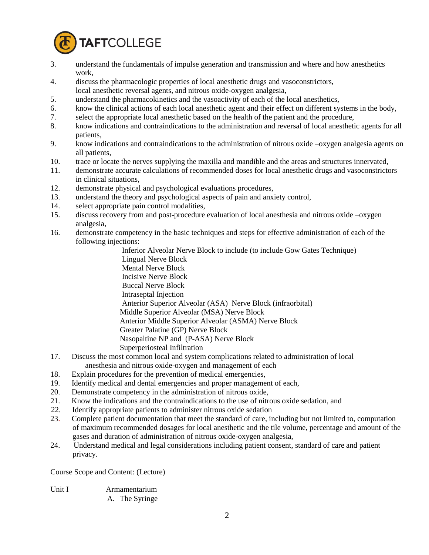

- 3. understand the fundamentals of impulse generation and transmission and where and how anesthetics work,
- 4. discuss the pharmacologic properties of local anesthetic drugs and vasoconstrictors,
- local anesthetic reversal agents, and nitrous oxide-oxygen analgesia,
- 5. understand the pharmacokinetics and the vasoactivity of each of the local anesthetics,
- 6. know the clinical actions of each local anesthetic agent and their effect on different systems in the body,
- 7. select the appropriate local anesthetic based on the health of the patient and the procedure,
- 8. know indications and contraindications to the administration and reversal of local anesthetic agents for all patients,
- 9. know indications and contraindications to the administration of nitrous oxide –oxygen analgesia agents on all patients,
- 10. trace or locate the nerves supplying the maxilla and mandible and the areas and structures innervated,
- 11. demonstrate accurate calculations of recommended doses for local anesthetic drugs and vasoconstrictors in clinical situations,
- 12. demonstrate physical and psychological evaluations procedures,
- 13. understand the theory and psychological aspects of pain and anxiety control,
- 14. select appropriate pain control modalities,
- 15. discuss recovery from and post-procedure evaluation of local anesthesia and nitrous oxide –oxygen analgesia,
- 16. demonstrate competency in the basic techniques and steps for effective administration of each of the following injections:

 Inferior Alveolar Nerve Block to include (to include Gow Gates Technique) Lingual Nerve Block Mental Nerve Block Incisive Nerve Block Buccal Nerve Block Intraseptal Injection Anterior Superior Alveolar (ASA) Nerve Block (infraorbital) Middle Superior Alveolar (MSA) Nerve Block Anterior Middle Superior Alveolar (ASMA) Nerve Block Greater Palatine (GP) Nerve Block Nasopaltine NP and (P-ASA) Nerve Block Superperiosteal Infiltration

- 17. Discuss the most common local and system complications related to administration of local anesthesia and nitrous oxide-oxygen and management of each
- 18. Explain procedures for the prevention of medical emergencies,
- 19. Identify medical and dental emergencies and proper management of each,
- 20. Demonstrate competency in the administration of nitrous oxide,
- 21. Know the indications and the contraindications to the use of nitrous oxide sedation, and
- 22. Identify appropriate patients to administer nitrous oxide sedation
- 23. Complete patient documentation that meet the standard of care, including but not limited to, computation of maximum recommended dosages for local anesthetic and the tile volume, percentage and amount of the gases and duration of administration of nitrous oxide-oxygen analgesia,
- 24. Understand medical and legal considerations including patient consent, standard of care and patient privacy.

Course Scope and Content: (Lecture)

| Unit I | Armamentarium  |
|--------|----------------|
|        | A. The Syringe |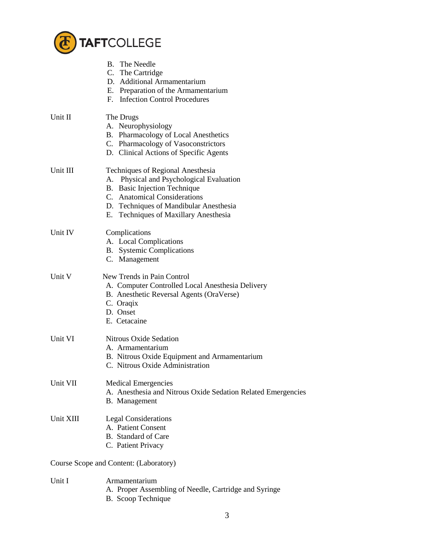

|                                        | <b>B.</b> The Needle<br>C. The Cartridge<br>D. Additional Armamentarium<br>E. Preparation of the Armamentarium<br>F. Infection Control Procedures                                                                                   |  |
|----------------------------------------|-------------------------------------------------------------------------------------------------------------------------------------------------------------------------------------------------------------------------------------|--|
| Unit II                                | The Drugs<br>A. Neurophysiology<br>B. Pharmacology of Local Anesthetics<br>C. Pharmacology of Vasoconstrictors<br>D. Clinical Actions of Specific Agents                                                                            |  |
| Unit III                               | Techniques of Regional Anesthesia<br>A. Physical and Psychological Evaluation<br>B. Basic Injection Technique<br>C. Anatomical Considerations<br>D. Techniques of Mandibular Anesthesia<br>Techniques of Maxillary Anesthesia<br>Е. |  |
| Unit IV                                | Complications<br>A. Local Complications<br><b>B.</b> Systemic Complications<br>C. Management                                                                                                                                        |  |
| Unit V                                 | New Trends in Pain Control<br>A. Computer Controlled Local Anesthesia Delivery<br>B. Anesthetic Reversal Agents (OraVerse)<br>C. Oraqix<br>D. Onset<br>E. Cetacaine                                                                 |  |
| Unit VI                                | <b>Nitrous Oxide Sedation</b><br>A. Armamentarium<br>B. Nitrous Oxide Equipment and Armamentarium<br>C. Nitrous Oxide Administration                                                                                                |  |
| Unit VII                               | <b>Medical Emergencies</b><br>A. Anesthesia and Nitrous Oxide Sedation Related Emergencies<br>B. Management                                                                                                                         |  |
| Unit XIII                              | <b>Legal Considerations</b><br>A. Patient Consent<br>B. Standard of Care<br>C. Patient Privacy                                                                                                                                      |  |
| Course Scope and Content: (Laboratory) |                                                                                                                                                                                                                                     |  |
| Unit I                                 | Armamentarium<br>A. Proper Assembling of Needle, Cartridge and Syringe                                                                                                                                                              |  |

B. Scoop Technique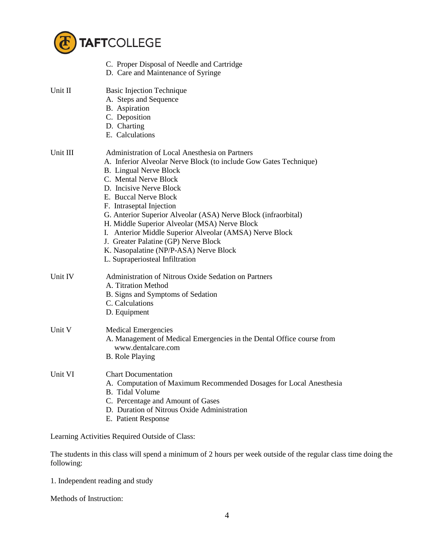

|          | C. Proper Disposal of Needle and Cartridge<br>D. Care and Maintenance of Syringe                                                                                                                                                                                                                                                                                                                                                                                                                                                                                 |
|----------|------------------------------------------------------------------------------------------------------------------------------------------------------------------------------------------------------------------------------------------------------------------------------------------------------------------------------------------------------------------------------------------------------------------------------------------------------------------------------------------------------------------------------------------------------------------|
| Unit II  | <b>Basic Injection Technique</b><br>A. Steps and Sequence<br>B. Aspiration<br>C. Deposition<br>D. Charting<br>E. Calculations                                                                                                                                                                                                                                                                                                                                                                                                                                    |
| Unit III | Administration of Local Anesthesia on Partners<br>A. Inferior Alveolar Nerve Block (to include Gow Gates Technique)<br><b>B.</b> Lingual Nerve Block<br>C. Mental Nerve Block<br>D. Incisive Nerve Block<br>E. Buccal Nerve Block<br>F. Intraseptal Injection<br>G. Anterior Superior Alveolar (ASA) Nerve Block (infraorbital)<br>H. Middle Superior Alveolar (MSA) Nerve Block<br>I. Anterior Middle Superior Alveolar (AMSA) Nerve Block<br>J. Greater Palatine (GP) Nerve Block<br>K. Nasopalatine (NP/P-ASA) Nerve Block<br>L. Supraperiosteal Infiltration |
| Unit IV  | Administration of Nitrous Oxide Sedation on Partners<br>A. Titration Method<br>B. Signs and Symptoms of Sedation<br>C. Calculations<br>D. Equipment                                                                                                                                                                                                                                                                                                                                                                                                              |
| Unit V   | <b>Medical Emergencies</b><br>A. Management of Medical Emergencies in the Dental Office course from<br>www.dentalcare.com<br><b>B.</b> Role Playing                                                                                                                                                                                                                                                                                                                                                                                                              |
| Unit VI  | <b>Chart Documentation</b><br>A. Computation of Maximum Recommended Dosages for Local Anesthesia<br><b>B.</b> Tidal Volume<br>C. Percentage and Amount of Gases<br>D. Duration of Nitrous Oxide Administration<br>E. Patient Response                                                                                                                                                                                                                                                                                                                            |

Learning Activities Required Outside of Class:

The students in this class will spend a minimum of 2 hours per week outside of the regular class time doing the following:

1. Independent reading and study

Methods of Instruction: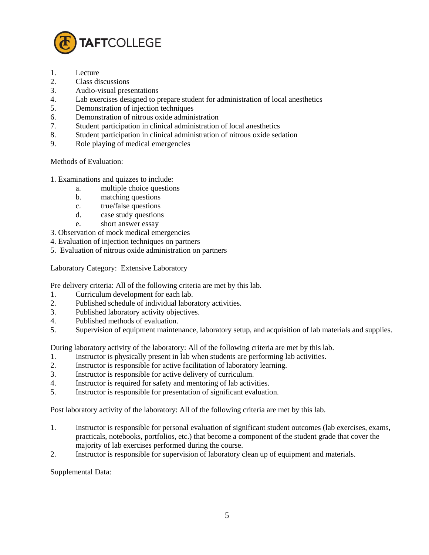

- 1. Lecture
- 2. Class discussions
- 3. Audio-visual presentations
- 4. Lab exercises designed to prepare student for administration of local anesthetics
- 5. Demonstration of injection techniques
- 6. Demonstration of nitrous oxide administration
- 7. Student participation in clinical administration of local anesthetics
- 8. Student participation in clinical administration of nitrous oxide sedation
- 9. Role playing of medical emergencies

Methods of Evaluation:

- 1. Examinations and quizzes to include:
	- a. multiple choice questions
	- b. matching questions
	- c. true/false questions
	- d. case study questions
	- e. short answer essay
- 3. Observation of mock medical emergencies
- 4. Evaluation of injection techniques on partners
- 5. Evaluation of nitrous oxide administration on partners

Laboratory Category: Extensive Laboratory

Pre delivery criteria: All of the following criteria are met by this lab.

- 1. Curriculum development for each lab.
- 2. Published schedule of individual laboratory activities.
- 3. Published laboratory activity objectives.
- 4. Published methods of evaluation.
- 5. Supervision of equipment maintenance, laboratory setup, and acquisition of lab materials and supplies.

During laboratory activity of the laboratory: All of the following criteria are met by this lab.

- 1. Instructor is physically present in lab when students are performing lab activities.
- 2. Instructor is responsible for active facilitation of laboratory learning.
- 3. Instructor is responsible for active delivery of curriculum.
- 4. Instructor is required for safety and mentoring of lab activities.
- 5. Instructor is responsible for presentation of significant evaluation.

Post laboratory activity of the laboratory: All of the following criteria are met by this lab.

- 1. Instructor is responsible for personal evaluation of significant student outcomes (lab exercises, exams, practicals, notebooks, portfolios, etc.) that become a component of the student grade that cover the majority of lab exercises performed during the course.
- 2. Instructor is responsible for supervision of laboratory clean up of equipment and materials.

Supplemental Data: